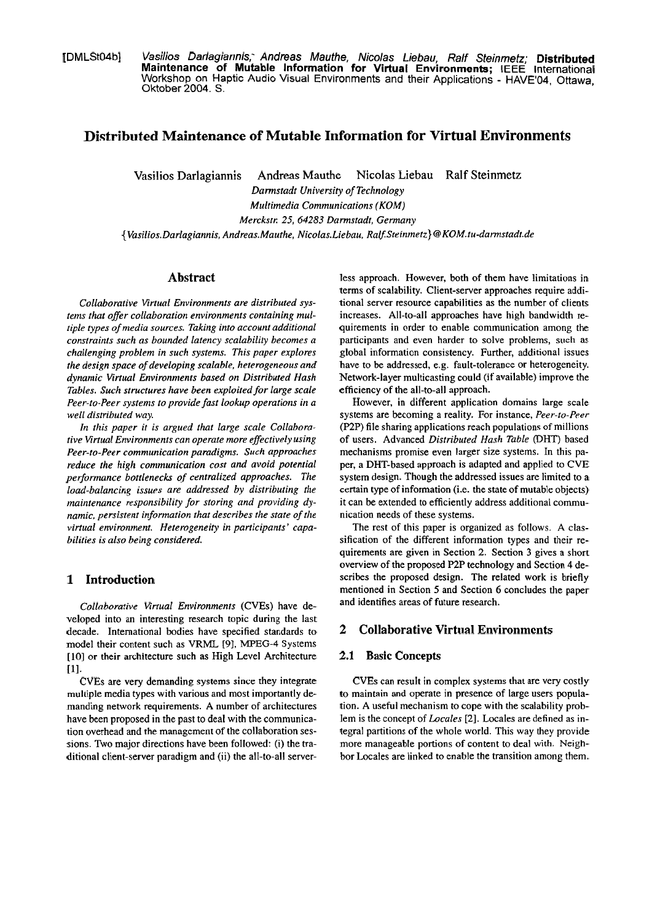[DM LSt04bl **Vasilios Darlagiannis,** - **Andreas Mauthe, Nicolas Liebau, Ralf Steinmetz; Distri buted Maintenance of Mutable Information for Virtual Environments;** IEEE International Workshop on Haptic Audio Visual Environments and their Applications - HAVE'04, Ottawa, Oktober 2004. S.

# **Distributed Maintenance of Mutable Information for Virtual Environments**

Vasilios Darlagiannis Andreas Mauthe Nicolas Liebau Ralf Steinmetz

*Darmstadt University of Technology Multimedia Conimunications (KOM) Merckst,: 25, 64283 Darmstadt, Germany {Vasilios.Darlagiannis, Andreas.Mauthe, Nicolas.Liebau, Ra&Steinmetz)@ KOM.tu-darmstadt.de* 

#### **Abstract**

*Collaborative Virtunl Environments are distributed systems that offer collaboration environrnents containing multiple types of media sources. Taking into account additional constraints such as bounded latency scalability becomes a challenging problem in such systems. This paper explores the design space of developing scalable. heterogeneous und dynamic Virtuul Environnients based on Distributed Hash Tables. Such structures have been exploited for large scale Peer-to-Peer Systems to provide fast lookup operations in a well distributed way.* 

In this paper it is argued that large scale Collabora*tive Virtuul Environments can operate more effectively using Peer-to-Peer communication paradigms. Such approaches reduce the high communication cosr und avoid potential performance bottlenecks of centralized approaches. The load-balancing issues are addressed by distributing the tnaintenance responsibility for storing und providing dynamic, persistent information that describes the state of the virtual environment. Heterogeneity in participants' capabilities is also being considered.* 

### **1 Introduction**

*Collaborative Krtual Environments* (CVEs) have developed into an interesting research topic during the last decade. International bodies have specified standards to model their content such as VRML **[9],** MPEG-4 Systems **[10]** or their architecture such as High Level Architecture  $[1]$ .

CVEs are very demanding systems since they integrate multiple media types with various and most importantly demanding network requirements. A number of architectures have been proposed in the past to deal with the communication overhead and the management of the collaboration sessions. Two major directions have been followed: (i) the traditional client-server paradigm and (ii) the all-to-all serverless approach. However, both of them have limitations in terms of scalability. Client-server approaches require additional server resource capabilities as the number of clients increases. All-to-all approaches have high bandwidth requirements in order to enable communication among the participants and even harder to solve problems, such as global information consistency. Further, additional issues have to be addressed, e.g. fault-tolerance or heterogeneity. Network-layer rnulticasting could (if available) improve the efficiency of the all-to-all approach.

However, in different application domains large scale systems are becorning a reality. For instance, *Peer-to-Peer*  **(P2P)** file sharing applications reach populations of millions of users. Advanced *Distributed Hash Table (DHT)* based mechanisms promise even larger size systems. In this paper, a DHT-based approach is adapted and applied to CVE system design. Though the addressed issues are limited to a certain type of information (i.e. the state of mutable objects) it can be extended to efficiently address additional communication needs of these systems.

The rest of this paper is organized as follows. A classification of the different information types and their requirements are given in Section 2. Section 3 gives a short overview of the proposed P2P technology and Section 4 describes the proposed design. The related work is briefly mentioned in Section 5 and Section 6 concludes the paper and identifies areas of future research.

## **2 Collaborative Virtual Environments**

#### **2.1 Basic Concepts**

CVEs can result in cornplex systems that are very costly to maintain and operate in presence of large users population. A useful mechanism to cope with the scalability problern is the concept of *Locales* **[2].** Locales are defined as integral partitions of the whole world. This way they provide more manageable portions of content to deal with. Neighbor Locales are linked to enable the transition among them.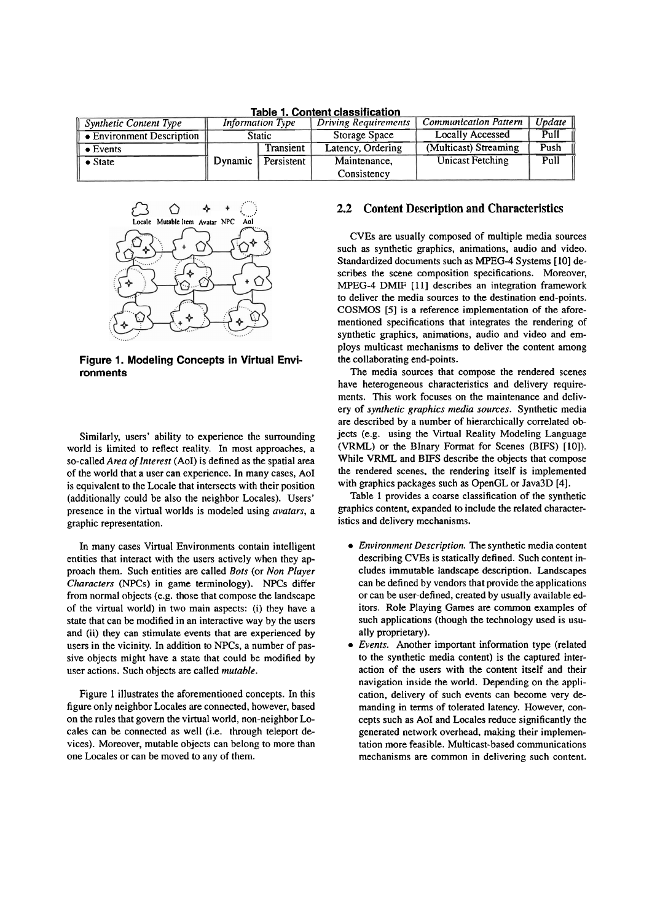| паріс 1. Оснісні сійсенісатор     |                         |            |                             |                              |        |
|-----------------------------------|-------------------------|------------|-----------------------------|------------------------------|--------|
| Synthetic Content Type            | <b>Information Type</b> |            | <b>Driving Requirements</b> | <b>Communication Pattern</b> | Update |
| $\bullet$ Environment Description | Static                  |            | Storage Space               | <b>Locally Accessed</b>      | Pull   |
| $\bullet$ Events                  |                         | Transient  | Latency, Ordering           | (Multicast) Streaming        | Push   |
| $\bullet$ State                   | Dynamic                 | Persistent | Maintenance,                | Unicast Fetching             | Pull   |
|                                   |                         |            | Consistency                 |                              |        |

#### **Table 1. Content classification**



**Figure 1. Modeling Concepts in Virtual Environments** 

Similarly, users' ability to experience the surrounding world is limited to reflect reality. In most approaches, a so-called *Area of Interest* (AoI) is defined as the spatial area of the world that a user can experience. In many cases, AoI is equivalent to the Locale that intersects with their position (additionally could be also the neighbor Locales). Users' presence in the virtual worlds is modeled using *avatars,* a graphic representation.

In many cases Virtual Environments contain intelligent entities that interact with the users actively when they approach them. Such entities are called *Bois* (or *Non Player Characiers* (NPCs) in game terminology). NPCs differ from normal objects (e.g. those that compose the landscape of the virtual world) in two main aspects: (i) they have a state that can be modified in an interactive way by the users and (ii) they can stimulate events that are experienced by users in the vicinity. In addition to NPCs, a number of passive objects might have a state that could be modified by User actions. Such objects are called *mutable.* 

Figure 1 illustrates the aforementioned concepts. In this figure only neighbor Locales are connected, however, based on the rules that govem the virtual world, non-neighbor Locales can be connected as well (i.e. through teleport devices). Moreover, mutable objects can belong to more than one Locales or can be moved to any of them.

## **2.2 Content Description and Characteristics**

CVEs are usually composed of multiple media sources such as synthetic graphics, animations, audio and video. Standardized documents such as MPEG-4 Systems [10] describes the scene composition specifications. Moreover, MPEG-4 DMIF [ll] describes an integration framework to deliver the media sources to the destination end-points. COSMOS [5] is a reference implementation of the aforementioned specifications that integrates the rendering of synthetic graphics, animations, audio and video and employs multicast mechanisms to deliver the content among the collaborating end-points.

The media sources that compose the rendered scenes have heterogeneous characteristics and delivery requirements. This work focuses on the maintenance and delivery of *syntheiic graphics media sources.* Synthetic media are described by a number of hierarchically correlated objects (e.g. using the Virtual Reality Modeling Language (VRML) or the BInary Format for Scenes (BIFS) [10]). While VRML and BFS describe the objects that compose the rendered scenes, the rendering itself is implemented with graphics packages such as OpenGL or Java3D [4].

Table 1 provides a coarse classification of the synthetic graphics content, expanded to include the related characteristics and delivery mechanisms.

- *Environment Description.* The synthetic media content describing CVEs is statically defined. Such content includes immutable landscape description. Landscapes can be defined by vendors that provide the applications or can be user-defined, created by usually available editors. Role Playing Games are common examples of such applications (though the technology used is usually proprietary).
- *Events.* Another important information type (related to the synthetic media content) is the captured interaction of the users with the content itself and their navigation inside the world. Depending on the application, delivery of such events can become very demanding in terms of tolerated latency. However, concepts such as AoI and Locales reduce significantly the generated network overhead, making their implementation more feasible. Multicast-based communications mechanisms are common in delivering such content.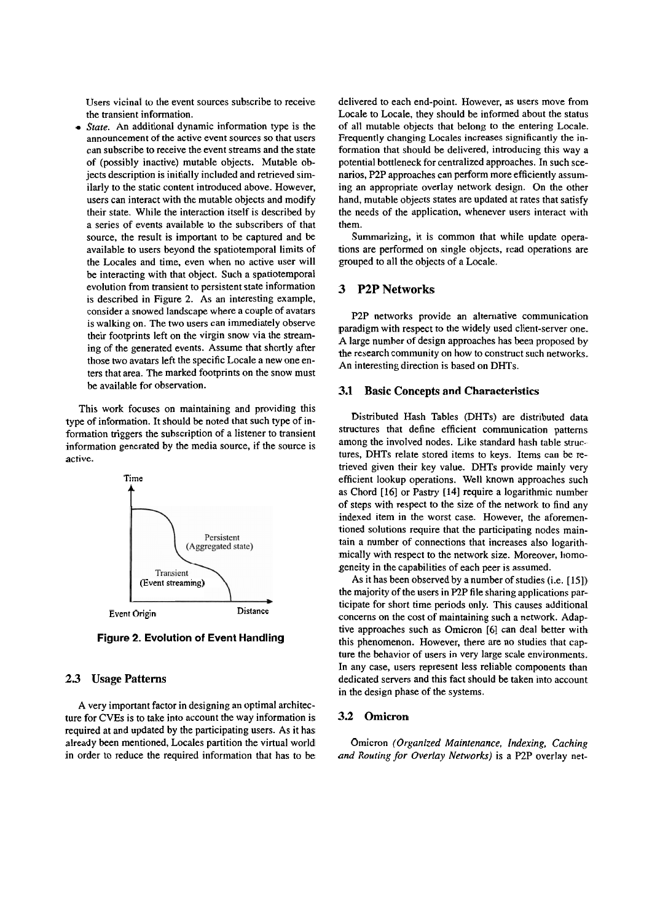Users vicinal to the event sources subscribe to receive the transient information.

*Stare.* An additional dynamic information type is the announcement of the active event sources so that users can subscribe to receive the event streams and the state of (possibly inactive) mutable objects. Mutable objects description is initially included and retrieved similarly to the static content introduced above. However, users can interact with the mutable objects and modify their state. While the interaction itself is described by a series of events available to the subscribers of that source, the result is important to be captured and be available to users beyond the spatiotemporal limits of the Locales and time, even when no active user will be interacting with that object. Such a spatiotemporal evolution from transient to persistent state information is described in Figure 2. As an interesting example, consider a snowed landscape where a couple of avatars is walking on. The two users can immediately observe their footprints left on the virgin Snow via the streaming of the generated events. Assume that shortly after those two avatars left the specific Locale a new one enters that area. The marked footprints on the Snow must be available for observation.

This work focuses on maintaining and providing this type of information. It should be noted that such type of information triggers the subscription of a listener to transient information generated by the media source, if the source is active.



**Figure 2. Evolution of Event Handling** 

## **23 Usage Patterns**

A very important factor in designing an optimal architecture for CVEs is to take into account the way information is required at and updated by the participating users. As it has already been mentioned, Locales partition the virtual world in order to reduce the required information that has to be delivered to each end-point. However, as users move from Locale to Locale, they should be informed about the Status of all mutable objects that belong to the entering Locale. Frequently changing Locales increases significantly the information that should be delivered, introducing this way a potential bottleneck for centralized approaches. In such scenarios, P2P approaches can perform more efficiently assuming an appropriate overlay network design. On the other hand, mutable objects states are updated at rates that satisfy the needs of the application, whenever users interact with them.

Summarizing, it is common that while update operations are performed on single objects, read operations are grouped to all the objects of a Locale.

#### **3 P2P Networks**

P2P networks provide an alternative communication paradigm with respect to the widely used client-server one. A large number of design approaches has been proposed by the research community on how to construct such networks. An interesting direction is based on DHTs.

### **3.1 Basic Concepts and Characteristics**

Distributed Hash Tables (DHTs) are distributed data structures that define efficient communication patterns among the involved nodes. Like standard hash table structures, DHTs relate stored items to keys. Items can be retrieved given their key value. DHTs provide mainly very efficient lookup operations. Well known approaches such as Chord **[16]** or Pastry **[14]** require a logarithmic number of steps with respect to the size of the network to find any indexed item in the worst case. However, the aforementioned solutions require that the participating nodes maintain a number of connections that increases also logarithmically with respect to the network size. Moreover, homogeneity in the capabilities of each peer is assumed.

As it has been observed by a number of studies (i.e. **[15])**  the majority of the users in P2P file sharing applications participate for short time periods only. This causes additional concerns on the cost of maintaining such a network. Adaptive approaches such as Omicron **[6]** can deal better with this phenomenon. However, there are no studies that capture the behavior of users in very large scale environments. In any case, users represent less reliable components than dedicated servers and this fact should be taken into account in the design phase of the Systems.

## **3.2 Omicron**

Omicron *(Organized Maintenance, Indexing, Caching und Routing for Overlay Networks)* is a P2P overlay net-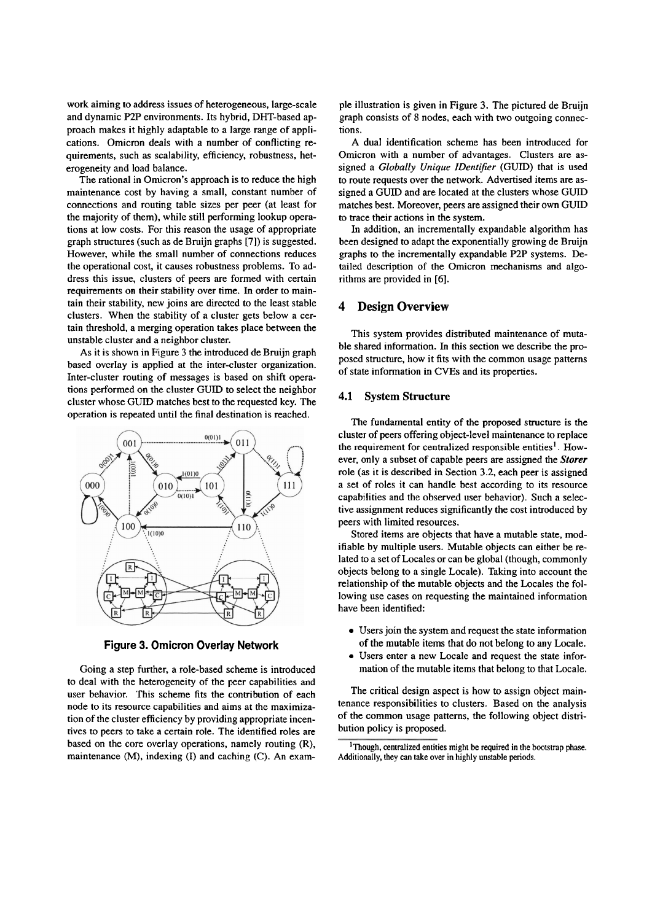work aiming to address issues of heterogeneous, large-scale and dynamic P2P environments. Its hybrid, DHT-based approach makes it highly adaptable to a large range of applications. Omicron deals with a number of conflicting requirements, such as scalability, efficiency, robusmess, heterogeneity and load balance.

The rational in Omicron's approach is to reduce the high maintenance cost by having a small, constant number of connections and routing table sizes per peer (at least for the majority of them), while still performing lookup operations at low costs. For this reason the usage of appropriate graph structures (such as de Bmijn graphs [7]) is suggested. However, while the small number of connections reduces the operational cost, it causes robusmess problems. To address this issue, clusters of peers are formed with certain requirements on their stability over time. In order to maintain their stability, new joins are directed to the least stable clusters. When the stability of a cluster gets below a certain threshold, a merging operation takes place between the unstable cluster and a neighbor cluster.

As it is shown in Figure 3 the introduced de Bruijn graph based overlay is applied at the inter-cluster organization. Inter-cluster routing of messages is based on shift operations performed on the cluster GUID to select the neighbor cluster whose GUiD matches best to the requested key. The operation is repeated until the final destination is reached.



**Figure 3. Omicron Overlay Network** 

Going a step further, a role-based scheme is introduced to deal with the heterogeneity of the peer capabilities and user behavior. This scheme fits the contribution of each node to its resource capabilities and aims at the maximization of the cluster efficiency by providing appropriate incentives to peers to take a certain role. The identified roles are based on the core overlay operations, namely routing (R), maintenance (M), indexing (I) and caching (C). An example illustration is given in Figure 3. The pictured de Bruijn graph consists of 8 nodes, each with two outgoing connections.

A dual identification scheme has been introduced for Omicron with a number of advantages. Clusters are assigned a *Globally Unique IDentifier* (GUID) that is used to route requests over the network. Advertised items are assigned a GUID and are located at the clusters whose GUID matches best. Moreover, peers are assigned their own GUiD to trace their actions in the System.

In addition, an incrementally expandable algorithm has been designed to adapt the exponentially growing de Bruijn graphs to the incrementally expandable P2P Systems. Detailed description of the Omicron mechanisms and algorithms are provided in *[6].* 

#### **4 Design Overview**

This system provides distributed maintenance of mutable shared information. In this section we describe the proposed structure, how it fits with the common usage patterns of state information in CVEs and its properties.

#### **4.1 System Stmcture**

The fundamental entity of the proposed structure is the cluster of peers offering object-level maintenance to replace the requirement for centralized responsible entities<sup>1</sup>. However, only a subset of capable peers are assigned the Storer role (as it is described in Section **3.2,** each peer is assigned a set of roles it can handle best according to its resource capabilities and the observed user behavior). Such a selective assignment reduces significantly the cost introduced by peers with limited resources.

Stored items are objects that have a mutable state, modifiable by multiple users. Mutable objects can either be related to a set of Locales or can be global (though, commonly objects belong to a single Locale). Taking into account the relationship of the mutable objects and the Locales the following use cases on requesting the maintained information have been identified:

- Users join the system and request the state information of the mutable items that do not belong to any Locale.
- Users enter a new Locale and request the state information of the mutable items that belong to that Locale.

The critical design aspect is how to assign object maintenance responsibilities to clusters. Based on the analysis of the common usage patterns, the following object distribution policy is proposed.

 $<sup>1</sup>$ Though, centralized entities might be required in the bootstrap phase.</sup> Additionally, they **can** take over in highly unstable **penods.**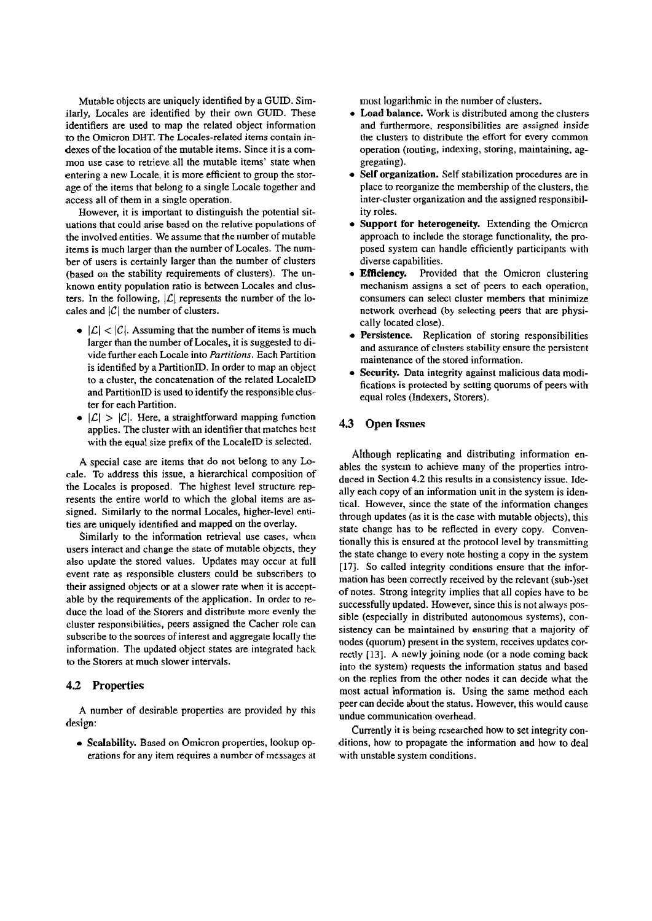Mutable objects are uniquely identified by a GUID. Similarly, Locales are identified by their own GUID. These identifiers are used to map the related object information to the Omicron DHT. The Locales-related items contain indexes of the location of the mutable items. Since it is a common use case to retrieve all the mutable items' state when entering a new Locale, it is more efficient to group the storage of the items that belong to a single Locale together and access all of them in a single operation.

However, it is important to distinguish the potential situations that could arise based on the relative populations of the involved entities. We assume that the nurnber of mutable items is much larger than the number of Locales. The number of users is certainly larger than the number of clusters (based on the stability requirements of clusters). The unknown entity population ratio is between Locales and clusters. In the following,  $|\mathcal{L}|$  represents the number of the locales and  $|C|$  the number of clusters.

- $|\mathcal{L}| < |\mathcal{C}|$ . Assuming that the number of items is much larger than the number of Locales, it is suggested to divide further each Locale into **Partitions.** Each Partition is identified by a PartitionID. In order to map an object to a cluster, the concatenation of the related LocaleID and Partition<sub>ID</sub> is used to identify the responsible cluster for each Partition.
- $|\mathcal{L}| > |\mathcal{C}|$ . Here, a straightforward mapping function applies. The cluster with an identifier that matches best with the equal size prefix of the LocaleID is selected.

A special case are items that do not belong to any Locale. To address this issue, a hierarchical composition of the Locales is proposed. The highest level structure represents the entire world to which the global items are assigned. Similarly to the normal Locales, higher-level entities are uniquely identified and mapped on the overlay.

Similarly to the information retrieval use cases, when users interact and change the state of mutable objects, they also update the stored values. Updates may occur at full event rate as responsible clusters could be subscribers to their assigned objects or at a slower rate when it is acceptable by the requirements of the application. In order to reduce the load of the Storers and distribute more evenly the cluster responsibilities, peers assigned the Cacher role can subscribe to the sources of interest and aggregate locally the information. The updated object states are integrated back to the Storers at much slower intervals.

#### **4.2 Properties**

**A** number of desirable properties are provided by this design:

**Scalability.** Based on Omicron properties, lookup operations for any item requires a number of messages at most logarithmic in the number of clusters.

- **Load balance.** Work is distributed among the clusters and furthermore, responsibilities are assigned inside the clusters to distribute the effort for every common operation (routing, indexing, storing, maintaining, aggregating).
- **Self organization.** Self stabilization procedures are in place to reorganize the membership of the clusters, the inter-cluster organization and the assigned responsibility roles.
- **Support for heterogeneity.** Extending the Omicron approach to include the Storage functionality, the proposed system can handle efficiently participants with diverse capabilities.
- **Efficiency.** Provided that the Omicron clustering mechanism assigns a set of peers to each operation, consumers can select cluster members that minimize network overhead (by selecting peers that are physically located close).
- Persistence. Replication of storing responsibilities and assurance of clusters stability ensure the persistent maintenance of the stored information.
- **Security.** Data integrity against malicious data modifications is protected by setting quorums of peers with equal roles (Indexers, Storers).

#### **4.3 Open Issues**

Although replicating and distributing information enables the system to achieve many of the properties introduced in Section 4.2 this results in a consistency issue. Ideally each copy of an information unit in the system is identical. However, since the state of the information changes through updates (as it is the case with mutable objects), this state change has to be reflected in every copy. Conventionally this is ensured at the protocol level by transrnitting the state change to every note hosting a copy in the system **[17].** So called integrity conditions ensure that the information has been correctly received by the relevant (sub-)set of notes. Strong integrity implies that all copies have to be successfully updated. However, since this is not always possible (especially in distributed autonomous systems), consistency can be maintained by ensuring that a majority of nodes (quorum) present in the system, receives updates correctly [13]. A newly joining node (or a node coming back into the system) requests the information status and based on the replies from the other nodes it can decide what the most actual information is. Using the Same method each peer can decide about the status. However, this would cause undue communication overhead.

Currently it is being researched how to Set integrity conditions, how to propagate the information and how to deal with unstable system conditions.